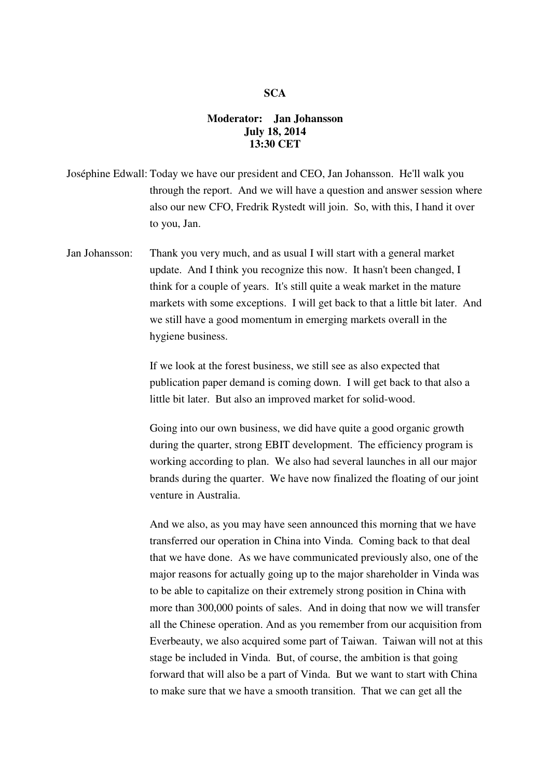## **SCA**

## **Moderator: Jan Johansson July 18, 2014 13:30 CET**

Joséphine Edwall: Today we have our president and CEO, Jan Johansson. He'll walk you through the report. And we will have a question and answer session where also our new CFO, Fredrik Rystedt will join. So, with this, I hand it over to you, Jan.

Jan Johansson: Thank you very much, and as usual I will start with a general market update. And I think you recognize this now. It hasn't been changed, I think for a couple of years. It's still quite a weak market in the mature markets with some exceptions. I will get back to that a little bit later. And we still have a good momentum in emerging markets overall in the hygiene business.

> If we look at the forest business, we still see as also expected that publication paper demand is coming down. I will get back to that also a little bit later. But also an improved market for solid-wood.

 Going into our own business, we did have quite a good organic growth during the quarter, strong EBIT development. The efficiency program is working according to plan. We also had several launches in all our major brands during the quarter. We have now finalized the floating of our joint venture in Australia.

 And we also, as you may have seen announced this morning that we have transferred our operation in China into Vinda. Coming back to that deal that we have done. As we have communicated previously also, one of the major reasons for actually going up to the major shareholder in Vinda was to be able to capitalize on their extremely strong position in China with more than 300,000 points of sales. And in doing that now we will transfer all the Chinese operation. And as you remember from our acquisition from Everbeauty, we also acquired some part of Taiwan. Taiwan will not at this stage be included in Vinda. But, of course, the ambition is that going forward that will also be a part of Vinda. But we want to start with China to make sure that we have a smooth transition. That we can get all the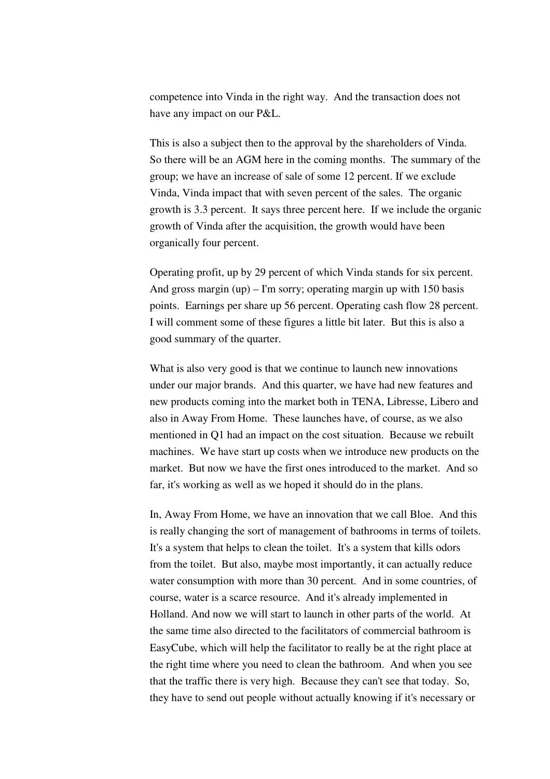competence into Vinda in the right way. And the transaction does not have any impact on our P&L.

 This is also a subject then to the approval by the shareholders of Vinda. So there will be an AGM here in the coming months. The summary of the group; we have an increase of sale of some 12 percent. If we exclude Vinda, Vinda impact that with seven percent of the sales. The organic growth is 3.3 percent. It says three percent here. If we include the organic growth of Vinda after the acquisition, the growth would have been organically four percent.

 Operating profit, up by 29 percent of which Vinda stands for six percent. And gross margin  $(up) - I'm$  sorry; operating margin up with 150 basis points. Earnings per share up 56 percent. Operating cash flow 28 percent. I will comment some of these figures a little bit later. But this is also a good summary of the quarter.

What is also very good is that we continue to launch new innovations under our major brands. And this quarter, we have had new features and new products coming into the market both in TENA, Libresse, Libero and also in Away From Home. These launches have, of course, as we also mentioned in Q1 had an impact on the cost situation. Because we rebuilt machines. We have start up costs when we introduce new products on the market. But now we have the first ones introduced to the market. And so far, it's working as well as we hoped it should do in the plans.

 In, Away From Home, we have an innovation that we call Bloe. And this is really changing the sort of management of bathrooms in terms of toilets. It's a system that helps to clean the toilet. It's a system that kills odors from the toilet. But also, maybe most importantly, it can actually reduce water consumption with more than 30 percent. And in some countries, of course, water is a scarce resource. And it's already implemented in Holland. And now we will start to launch in other parts of the world. At the same time also directed to the facilitators of commercial bathroom is EasyCube, which will help the facilitator to really be at the right place at the right time where you need to clean the bathroom. And when you see that the traffic there is very high. Because they can't see that today. So, they have to send out people without actually knowing if it's necessary or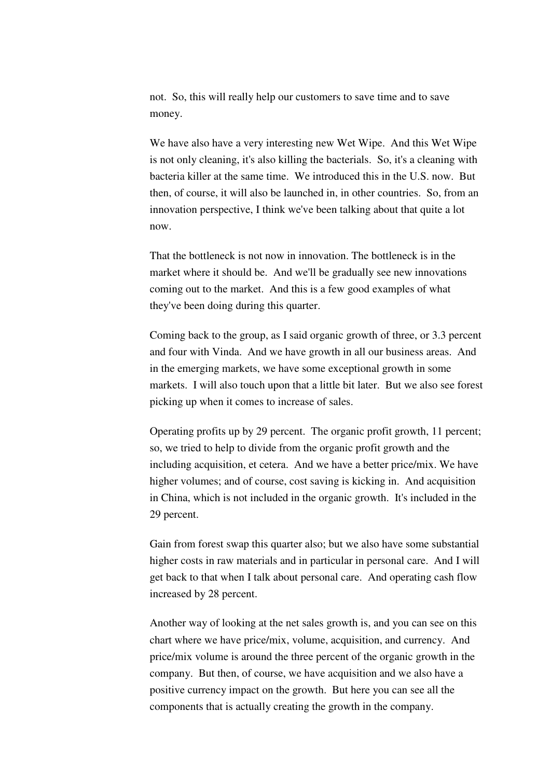not. So, this will really help our customers to save time and to save money.

 We have also have a very interesting new Wet Wipe. And this Wet Wipe is not only cleaning, it's also killing the bacterials. So, it's a cleaning with bacteria killer at the same time. We introduced this in the U.S. now. But then, of course, it will also be launched in, in other countries. So, from an innovation perspective, I think we've been talking about that quite a lot now.

 That the bottleneck is not now in innovation. The bottleneck is in the market where it should be. And we'll be gradually see new innovations coming out to the market. And this is a few good examples of what they've been doing during this quarter.

 Coming back to the group, as I said organic growth of three, or 3.3 percent and four with Vinda. And we have growth in all our business areas. And in the emerging markets, we have some exceptional growth in some markets. I will also touch upon that a little bit later. But we also see forest picking up when it comes to increase of sales.

 Operating profits up by 29 percent. The organic profit growth, 11 percent; so, we tried to help to divide from the organic profit growth and the including acquisition, et cetera. And we have a better price/mix. We have higher volumes; and of course, cost saving is kicking in. And acquisition in China, which is not included in the organic growth. It's included in the 29 percent.

 Gain from forest swap this quarter also; but we also have some substantial higher costs in raw materials and in particular in personal care. And I will get back to that when I talk about personal care. And operating cash flow increased by 28 percent.

 Another way of looking at the net sales growth is, and you can see on this chart where we have price/mix, volume, acquisition, and currency. And price/mix volume is around the three percent of the organic growth in the company. But then, of course, we have acquisition and we also have a positive currency impact on the growth. But here you can see all the components that is actually creating the growth in the company.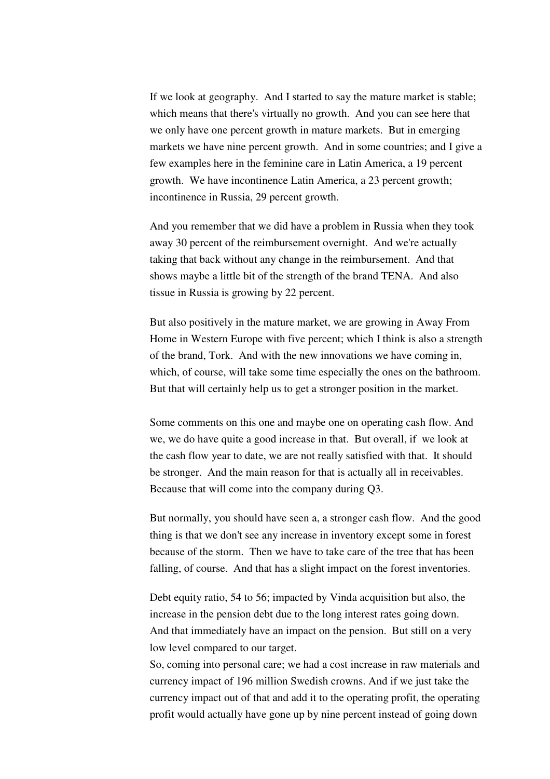If we look at geography. And I started to say the mature market is stable; which means that there's virtually no growth. And you can see here that we only have one percent growth in mature markets. But in emerging markets we have nine percent growth. And in some countries; and I give a few examples here in the feminine care in Latin America, a 19 percent growth. We have incontinence Latin America, a 23 percent growth; incontinence in Russia, 29 percent growth.

 And you remember that we did have a problem in Russia when they took away 30 percent of the reimbursement overnight. And we're actually taking that back without any change in the reimbursement. And that shows maybe a little bit of the strength of the brand TENA. And also tissue in Russia is growing by 22 percent.

 But also positively in the mature market, we are growing in Away From Home in Western Europe with five percent; which I think is also a strength of the brand, Tork. And with the new innovations we have coming in, which, of course, will take some time especially the ones on the bathroom. But that will certainly help us to get a stronger position in the market.

Some comments on this one and maybe one on operating cash flow. And we, we do have quite a good increase in that. But overall, if we look at the cash flow year to date, we are not really satisfied with that. It should be stronger. And the main reason for that is actually all in receivables. Because that will come into the company during Q3.

 But normally, you should have seen a, a stronger cash flow. And the good thing is that we don't see any increase in inventory except some in forest because of the storm. Then we have to take care of the tree that has been falling, of course. And that has a slight impact on the forest inventories.

 Debt equity ratio, 54 to 56; impacted by Vinda acquisition but also, the increase in the pension debt due to the long interest rates going down. And that immediately have an impact on the pension. But still on a very low level compared to our target.

So, coming into personal care; we had a cost increase in raw materials and currency impact of 196 million Swedish crowns. And if we just take the currency impact out of that and add it to the operating profit, the operating profit would actually have gone up by nine percent instead of going down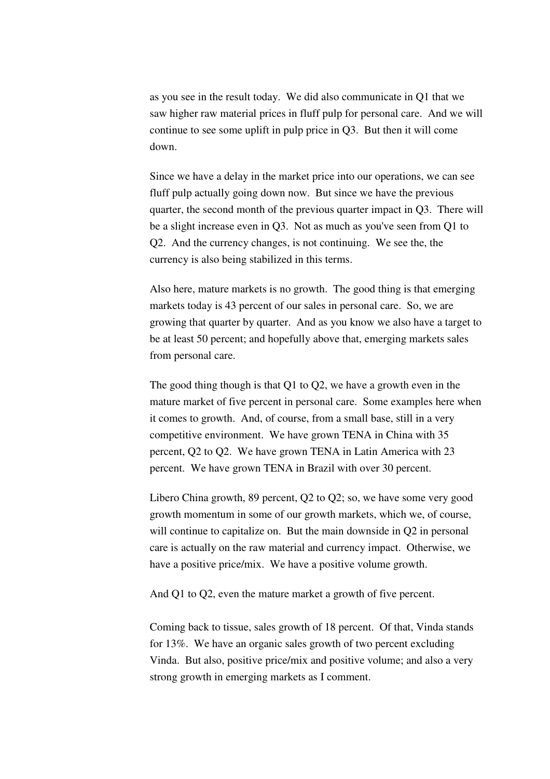as you see in the result today. We did also communicate in Q1 that we saw higher raw material prices in fluff pulp for personal care. And we will continue to see some uplift in pulp price in Q3. But then it will come down.

 Since we have a delay in the market price into our operations, we can see fluff pulp actually going down now. But since we have the previous quarter, the second month of the previous quarter impact in Q3. There will be a slight increase even in Q3. Not as much as you've seen from Q1 to Q2. And the currency changes, is not continuing. We see the, the currency is also being stabilized in this terms.

 Also here, mature markets is no growth. The good thing is that emerging markets today is 43 percent of our sales in personal care. So, we are growing that quarter by quarter. And as you know we also have a target to be at least 50 percent; and hopefully above that, emerging markets sales from personal care.

 The good thing though is that Q1 to Q2, we have a growth even in the mature market of five percent in personal care. Some examples here when it comes to growth. And, of course, from a small base, still in a very competitive environment. We have grown TENA in China with 35 percent, Q2 to Q2. We have grown TENA in Latin America with 23 percent. We have grown TENA in Brazil with over 30 percent.

 Libero China growth, 89 percent, Q2 to Q2; so, we have some very good growth momentum in some of our growth markets, which we, of course, will continue to capitalize on. But the main downside in Q2 in personal care is actually on the raw material and currency impact. Otherwise, we have a positive price/mix. We have a positive volume growth.

And Q1 to Q2, even the mature market a growth of five percent.

Coming back to tissue, sales growth of 18 percent. Of that, Vinda stands for 13%. We have an organic sales growth of two percent excluding Vinda. But also, positive price/mix and positive volume; and also a very strong growth in emerging markets as I comment.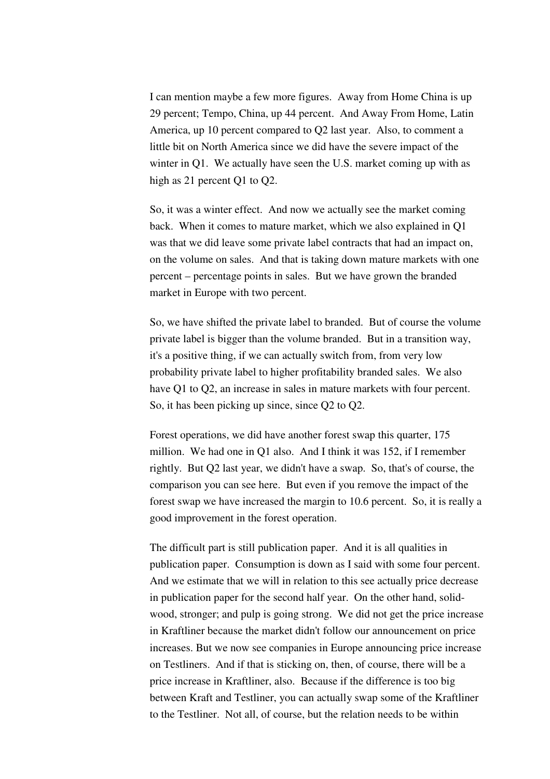I can mention maybe a few more figures. Away from Home China is up 29 percent; Tempo, China, up 44 percent. And Away From Home, Latin America, up 10 percent compared to Q2 last year. Also, to comment a little bit on North America since we did have the severe impact of the winter in Q1. We actually have seen the U.S. market coming up with as high as 21 percent Q1 to Q2.

 So, it was a winter effect. And now we actually see the market coming back. When it comes to mature market, which we also explained in Q1 was that we did leave some private label contracts that had an impact on, on the volume on sales. And that is taking down mature markets with one percent – percentage points in sales. But we have grown the branded market in Europe with two percent.

 So, we have shifted the private label to branded. But of course the volume private label is bigger than the volume branded. But in a transition way, it's a positive thing, if we can actually switch from, from very low probability private label to higher profitability branded sales. We also have Q1 to Q2, an increase in sales in mature markets with four percent. So, it has been picking up since, since Q2 to Q2.

 Forest operations, we did have another forest swap this quarter, 175 million. We had one in Q1 also. And I think it was 152, if I remember rightly. But Q2 last year, we didn't have a swap. So, that's of course, the comparison you can see here. But even if you remove the impact of the forest swap we have increased the margin to 10.6 percent. So, it is really a good improvement in the forest operation.

 The difficult part is still publication paper. And it is all qualities in publication paper. Consumption is down as I said with some four percent. And we estimate that we will in relation to this see actually price decrease in publication paper for the second half year. On the other hand, solidwood, stronger; and pulp is going strong. We did not get the price increase in Kraftliner because the market didn't follow our announcement on price increases. But we now see companies in Europe announcing price increase on Testliners. And if that is sticking on, then, of course, there will be a price increase in Kraftliner, also. Because if the difference is too big between Kraft and Testliner, you can actually swap some of the Kraftliner to the Testliner. Not all, of course, but the relation needs to be within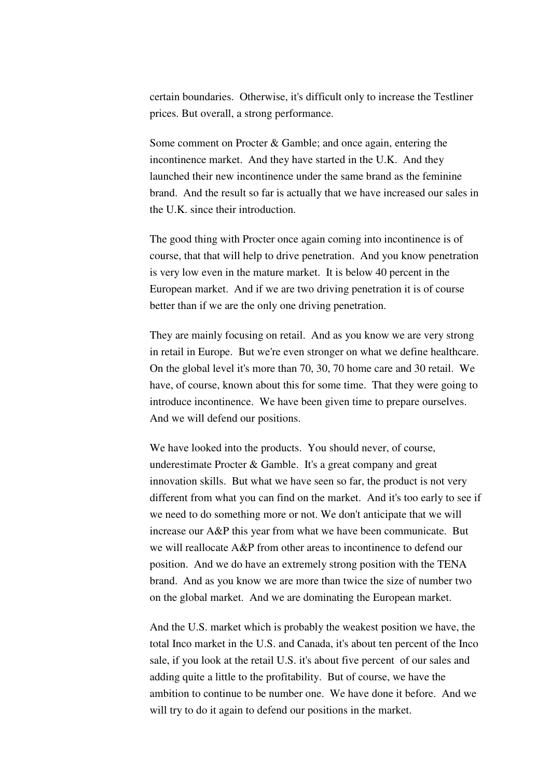certain boundaries. Otherwise, it's difficult only to increase the Testliner prices. But overall, a strong performance.

 Some comment on Procter & Gamble; and once again, entering the incontinence market. And they have started in the U.K. And they launched their new incontinence under the same brand as the feminine brand. And the result so far is actually that we have increased our sales in the U.K. since their introduction.

 The good thing with Procter once again coming into incontinence is of course, that that will help to drive penetration. And you know penetration is very low even in the mature market. It is below 40 percent in the European market. And if we are two driving penetration it is of course better than if we are the only one driving penetration.

 They are mainly focusing on retail. And as you know we are very strong in retail in Europe. But we're even stronger on what we define healthcare. On the global level it's more than 70, 30, 70 home care and 30 retail. We have, of course, known about this for some time. That they were going to introduce incontinence. We have been given time to prepare ourselves. And we will defend our positions.

 We have looked into the products. You should never, of course, underestimate Procter & Gamble. It's a great company and great innovation skills. But what we have seen so far, the product is not very different from what you can find on the market. And it's too early to see if we need to do something more or not. We don't anticipate that we will increase our A&P this year from what we have been communicate. But we will reallocate A&P from other areas to incontinence to defend our position. And we do have an extremely strong position with the TENA brand. And as you know we are more than twice the size of number two on the global market. And we are dominating the European market.

 And the U.S. market which is probably the weakest position we have, the total Inco market in the U.S. and Canada, it's about ten percent of the Inco sale, if you look at the retail U.S. it's about five percent of our sales and adding quite a little to the profitability. But of course, we have the ambition to continue to be number one. We have done it before. And we will try to do it again to defend our positions in the market.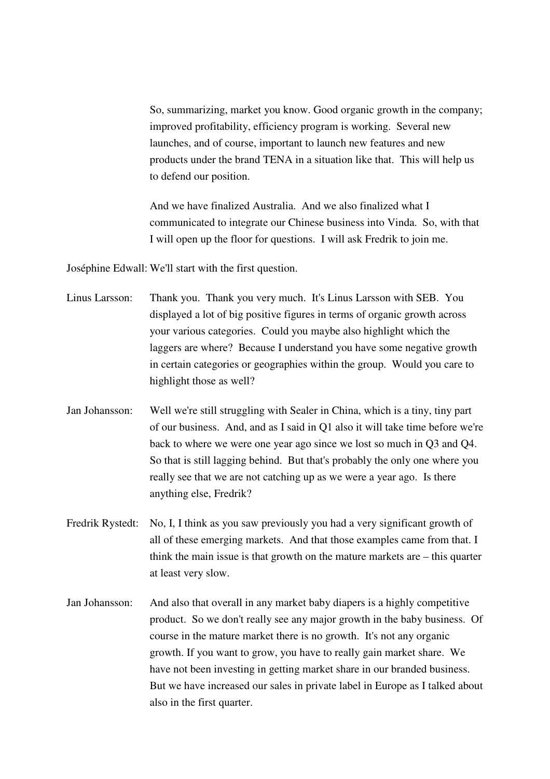So, summarizing, market you know. Good organic growth in the company; improved profitability, efficiency program is working. Several new launches, and of course, important to launch new features and new products under the brand TENA in a situation like that. This will help us to defend our position.

 And we have finalized Australia. And we also finalized what I communicated to integrate our Chinese business into Vinda. So, with that I will open up the floor for questions. I will ask Fredrik to join me.

Joséphine Edwall: We'll start with the first question.

- Linus Larsson: Thank you. Thank you very much. It's Linus Larsson with SEB. You displayed a lot of big positive figures in terms of organic growth across your various categories. Could you maybe also highlight which the laggers are where? Because I understand you have some negative growth in certain categories or geographies within the group. Would you care to highlight those as well?
- Jan Johansson: Well we're still struggling with Sealer in China, which is a tiny, tiny part of our business. And, and as I said in Q1 also it will take time before we're back to where we were one year ago since we lost so much in Q3 and Q4. So that is still lagging behind. But that's probably the only one where you really see that we are not catching up as we were a year ago. Is there anything else, Fredrik?
- Fredrik Rystedt: No, I, I think as you saw previously you had a very significant growth of all of these emerging markets. And that those examples came from that. I think the main issue is that growth on the mature markets are – this quarter at least very slow.
- Jan Johansson: And also that overall in any market baby diapers is a highly competitive product. So we don't really see any major growth in the baby business. Of course in the mature market there is no growth. It's not any organic growth. If you want to grow, you have to really gain market share. We have not been investing in getting market share in our branded business. But we have increased our sales in private label in Europe as I talked about also in the first quarter.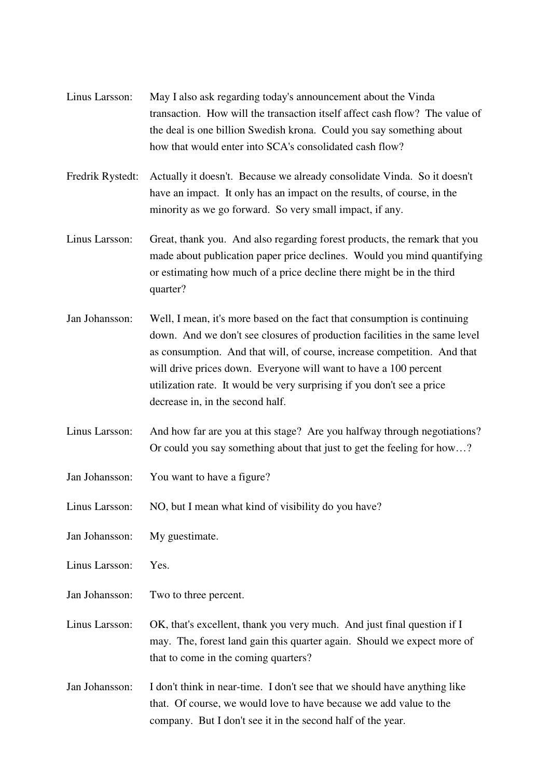| Linus Larsson:   | May I also ask regarding today's announcement about the Vinda<br>transaction. How will the transaction itself affect cash flow? The value of<br>the deal is one billion Swedish krona. Could you say something about<br>how that would enter into SCA's consolidated cash flow?                                                                                                                                      |
|------------------|----------------------------------------------------------------------------------------------------------------------------------------------------------------------------------------------------------------------------------------------------------------------------------------------------------------------------------------------------------------------------------------------------------------------|
| Fredrik Rystedt: | Actually it doesn't. Because we already consolidate Vinda. So it doesn't<br>have an impact. It only has an impact on the results, of course, in the<br>minority as we go forward. So very small impact, if any.                                                                                                                                                                                                      |
| Linus Larsson:   | Great, thank you. And also regarding forest products, the remark that you<br>made about publication paper price declines. Would you mind quantifying<br>or estimating how much of a price decline there might be in the third<br>quarter?                                                                                                                                                                            |
| Jan Johansson:   | Well, I mean, it's more based on the fact that consumption is continuing<br>down. And we don't see closures of production facilities in the same level<br>as consumption. And that will, of course, increase competition. And that<br>will drive prices down. Everyone will want to have a 100 percent<br>utilization rate. It would be very surprising if you don't see a price<br>decrease in, in the second half. |
| Linus Larsson:   | And how far are you at this stage? Are you halfway through negotiations?<br>Or could you say something about that just to get the feeling for how?                                                                                                                                                                                                                                                                   |
| Jan Johansson:   | You want to have a figure?                                                                                                                                                                                                                                                                                                                                                                                           |
| Linus Larsson:   | NO, but I mean what kind of visibility do you have?                                                                                                                                                                                                                                                                                                                                                                  |
| Jan Johansson:   | My guestimate.                                                                                                                                                                                                                                                                                                                                                                                                       |
| Linus Larsson:   | Yes.                                                                                                                                                                                                                                                                                                                                                                                                                 |
| Jan Johansson:   | Two to three percent.                                                                                                                                                                                                                                                                                                                                                                                                |
| Linus Larsson:   | OK, that's excellent, thank you very much. And just final question if I<br>may. The, forest land gain this quarter again. Should we expect more of<br>that to come in the coming quarters?                                                                                                                                                                                                                           |
| Jan Johansson:   | I don't think in near-time. I don't see that we should have anything like<br>that. Of course, we would love to have because we add value to the<br>company. But I don't see it in the second half of the year.                                                                                                                                                                                                       |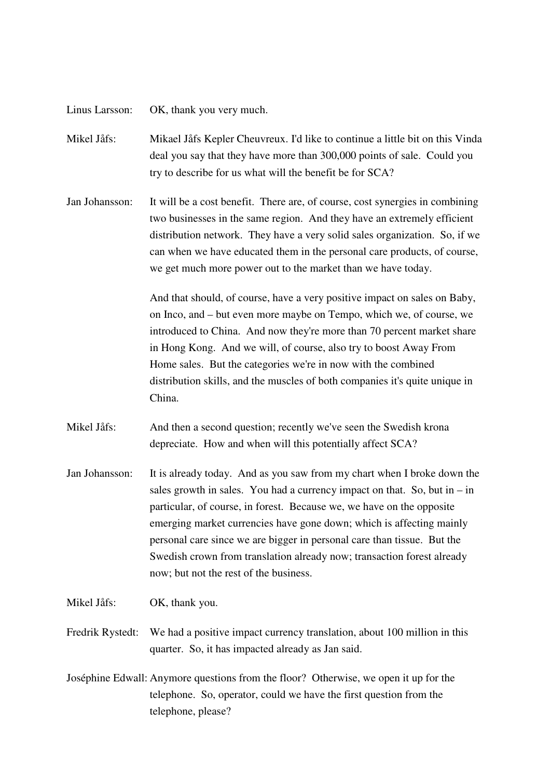Linus Larsson: OK, thank you very much.

Mikel Jåfs: Mikael Jåfs Kepler Cheuvreux. I'd like to continue a little bit on this Vinda deal you say that they have more than 300,000 points of sale. Could you try to describe for us what will the benefit be for SCA?

Jan Johansson: It will be a cost benefit. There are, of course, cost synergies in combining two businesses in the same region. And they have an extremely efficient distribution network. They have a very solid sales organization. So, if we can when we have educated them in the personal care products, of course, we get much more power out to the market than we have today.

> And that should, of course, have a very positive impact on sales on Baby, on Inco, and – but even more maybe on Tempo, which we, of course, we introduced to China. And now they're more than 70 percent market share in Hong Kong. And we will, of course, also try to boost Away From Home sales. But the categories we're in now with the combined distribution skills, and the muscles of both companies it's quite unique in China.

Mikel Jåfs: And then a second question; recently we've seen the Swedish krona depreciate. How and when will this potentially affect SCA?

- Jan Johansson: It is already today. And as you saw from my chart when I broke down the sales growth in sales. You had a currency impact on that. So, but in  $-$  in particular, of course, in forest. Because we, we have on the opposite emerging market currencies have gone down; which is affecting mainly personal care since we are bigger in personal care than tissue. But the Swedish crown from translation already now; transaction forest already now; but not the rest of the business.
- Mikel Jåfs: OK, thank you.
- Fredrik Rystedt: We had a positive impact currency translation, about 100 million in this quarter. So, it has impacted already as Jan said.
- Joséphine Edwall: Anymore questions from the floor? Otherwise, we open it up for the telephone. So, operator, could we have the first question from the telephone, please?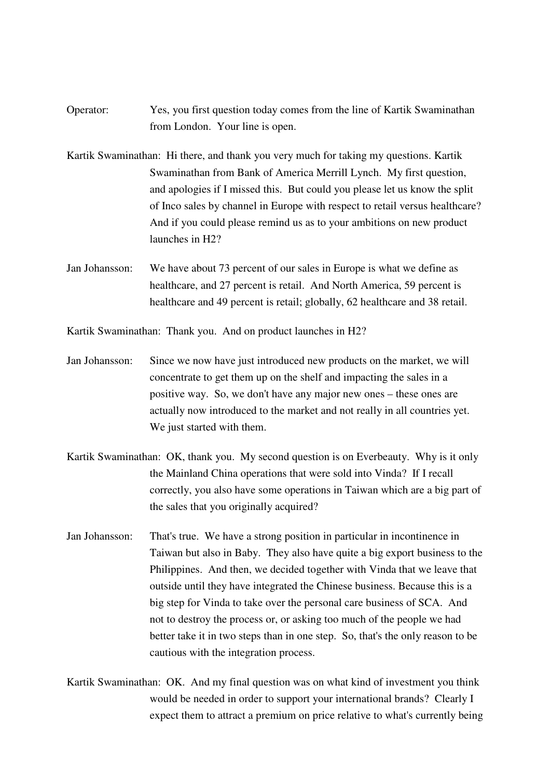- Operator: Yes, you first question today comes from the line of Kartik Swaminathan from London. Your line is open.
- Kartik Swaminathan: Hi there, and thank you very much for taking my questions. Kartik Swaminathan from Bank of America Merrill Lynch. My first question, and apologies if I missed this. But could you please let us know the split of Inco sales by channel in Europe with respect to retail versus healthcare? And if you could please remind us as to your ambitions on new product launches in H2?
- Jan Johansson: We have about 73 percent of our sales in Europe is what we define as healthcare, and 27 percent is retail. And North America, 59 percent is healthcare and 49 percent is retail; globally, 62 healthcare and 38 retail.

Kartik Swaminathan: Thank you. And on product launches in H2?

- Jan Johansson: Since we now have just introduced new products on the market, we will concentrate to get them up on the shelf and impacting the sales in a positive way. So, we don't have any major new ones – these ones are actually now introduced to the market and not really in all countries yet. We just started with them.
- Kartik Swaminathan: OK, thank you. My second question is on Everbeauty. Why is it only the Mainland China operations that were sold into Vinda? If I recall correctly, you also have some operations in Taiwan which are a big part of the sales that you originally acquired?
- Jan Johansson: That's true. We have a strong position in particular in incontinence in Taiwan but also in Baby. They also have quite a big export business to the Philippines. And then, we decided together with Vinda that we leave that outside until they have integrated the Chinese business. Because this is a big step for Vinda to take over the personal care business of SCA. And not to destroy the process or, or asking too much of the people we had better take it in two steps than in one step. So, that's the only reason to be cautious with the integration process.
- Kartik Swaminathan: OK. And my final question was on what kind of investment you think would be needed in order to support your international brands? Clearly I expect them to attract a premium on price relative to what's currently being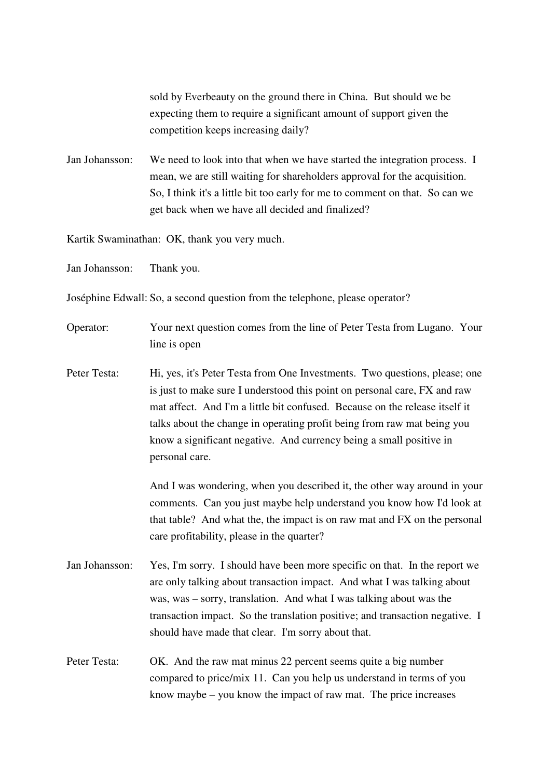sold by Everbeauty on the ground there in China. But should we be expecting them to require a significant amount of support given the competition keeps increasing daily?

Jan Johansson: We need to look into that when we have started the integration process. I mean, we are still waiting for shareholders approval for the acquisition. So, I think it's a little bit too early for me to comment on that. So can we get back when we have all decided and finalized?

Kartik Swaminathan: OK, thank you very much.

Jan Johansson: Thank you.

Joséphine Edwall: So, a second question from the telephone, please operator?

Operator: Your next question comes from the line of Peter Testa from Lugano. Your line is open

Peter Testa: Hi, yes, it's Peter Testa from One Investments. Two questions, please; one is just to make sure I understood this point on personal care, FX and raw mat affect. And I'm a little bit confused. Because on the release itself it talks about the change in operating profit being from raw mat being you know a significant negative. And currency being a small positive in personal care.

> And I was wondering, when you described it, the other way around in your comments. Can you just maybe help understand you know how I'd look at that table? And what the, the impact is on raw mat and FX on the personal care profitability, please in the quarter?

Jan Johansson: Yes, I'm sorry. I should have been more specific on that. In the report we are only talking about transaction impact. And what I was talking about was, was – sorry, translation. And what I was talking about was the transaction impact. So the translation positive; and transaction negative. I should have made that clear. I'm sorry about that.

Peter Testa: OK. And the raw mat minus 22 percent seems quite a big number compared to price/mix 11. Can you help us understand in terms of you know maybe – you know the impact of raw mat. The price increases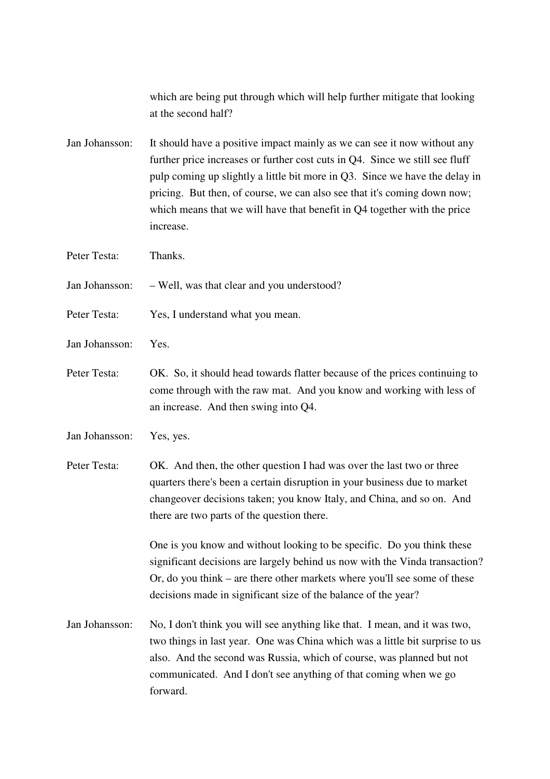which are being put through which will help further mitigate that looking at the second half?

Jan Johansson: It should have a positive impact mainly as we can see it now without any further price increases or further cost cuts in Q4. Since we still see fluff pulp coming up slightly a little bit more in Q3. Since we have the delay in pricing. But then, of course, we can also see that it's coming down now; which means that we will have that benefit in Q4 together with the price increase.

Peter Testa: Thanks.

Jan Johansson: – Well, was that clear and you understood?

- Peter Testa: Yes, I understand what you mean.
- Jan Johansson: Yes.
- Peter Testa: OK. So, it should head towards flatter because of the prices continuing to come through with the raw mat. And you know and working with less of an increase. And then swing into Q4.
- Jan Johansson: Yes, yes.

Peter Testa: OK. And then, the other question I had was over the last two or three quarters there's been a certain disruption in your business due to market changeover decisions taken; you know Italy, and China, and so on. And there are two parts of the question there.

> One is you know and without looking to be specific. Do you think these significant decisions are largely behind us now with the Vinda transaction? Or, do you think – are there other markets where you'll see some of these decisions made in significant size of the balance of the year?

Jan Johansson: No, I don't think you will see anything like that. I mean, and it was two, two things in last year. One was China which was a little bit surprise to us also. And the second was Russia, which of course, was planned but not communicated. And I don't see anything of that coming when we go forward.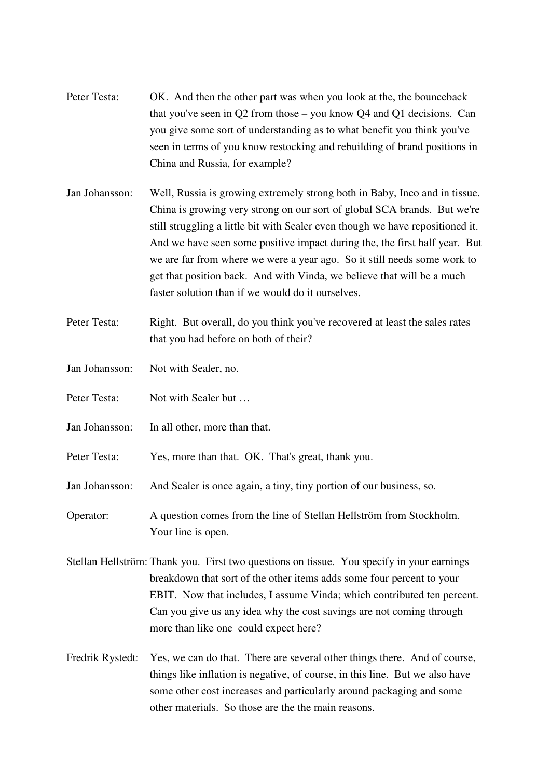- Peter Testa: OK. And then the other part was when you look at the, the bounceback that you've seen in Q2 from those – you know Q4 and Q1 decisions. Can you give some sort of understanding as to what benefit you think you've seen in terms of you know restocking and rebuilding of brand positions in China and Russia, for example?
- Jan Johansson: Well, Russia is growing extremely strong both in Baby, Inco and in tissue. China is growing very strong on our sort of global SCA brands. But we're still struggling a little bit with Sealer even though we have repositioned it. And we have seen some positive impact during the, the first half year. But we are far from where we were a year ago. So it still needs some work to get that position back. And with Vinda, we believe that will be a much faster solution than if we would do it ourselves.
- Peter Testa: Right. But overall, do you think you've recovered at least the sales rates that you had before on both of their?
- Jan Johansson: Not with Sealer, no.
- Peter Testa: Not with Sealer but ...
- Jan Johansson: In all other, more than that.

Peter Testa: Yes, more than that. OK. That's great, thank you.

Jan Johansson: And Sealer is once again, a tiny, tiny portion of our business, so.

Operator: A question comes from the line of Stellan Hellström from Stockholm. Your line is open.

Stellan Hellström: Thank you. First two questions on tissue. You specify in your earnings breakdown that sort of the other items adds some four percent to your EBIT. Now that includes, I assume Vinda; which contributed ten percent. Can you give us any idea why the cost savings are not coming through more than like one could expect here?

Fredrik Rystedt: Yes, we can do that. There are several other things there. And of course, things like inflation is negative, of course, in this line. But we also have some other cost increases and particularly around packaging and some other materials. So those are the the main reasons.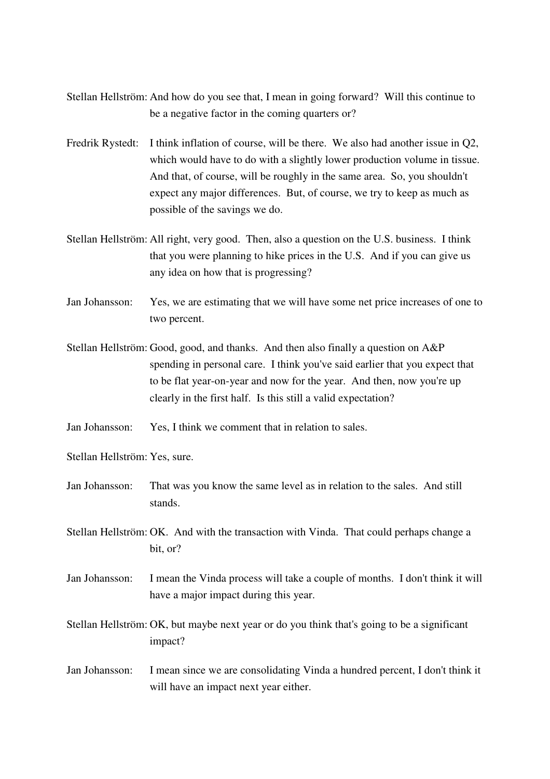- Stellan Hellström: And how do you see that, I mean in going forward? Will this continue to be a negative factor in the coming quarters or?
- Fredrik Rystedt: I think inflation of course, will be there. We also had another issue in Q2, which would have to do with a slightly lower production volume in tissue. And that, of course, will be roughly in the same area. So, you shouldn't expect any major differences. But, of course, we try to keep as much as possible of the savings we do.
- Stellan Hellström: All right, very good. Then, also a question on the U.S. business. I think that you were planning to hike prices in the U.S. And if you can give us any idea on how that is progressing?
- Jan Johansson: Yes, we are estimating that we will have some net price increases of one to two percent.
- Stellan Hellström: Good, good, and thanks. And then also finally a question on A&P spending in personal care. I think you've said earlier that you expect that to be flat year-on-year and now for the year. And then, now you're up clearly in the first half. Is this still a valid expectation?
- Jan Johansson: Yes, I think we comment that in relation to sales.
- Stellan Hellström: Yes, sure.
- Jan Johansson: That was you know the same level as in relation to the sales. And still stands.
- Stellan Hellström: OK. And with the transaction with Vinda. That could perhaps change a bit, or?
- Jan Johansson: I mean the Vinda process will take a couple of months. I don't think it will have a major impact during this year.
- Stellan Hellström: OK, but maybe next year or do you think that's going to be a significant impact?
- Jan Johansson: I mean since we are consolidating Vinda a hundred percent, I don't think it will have an impact next year either.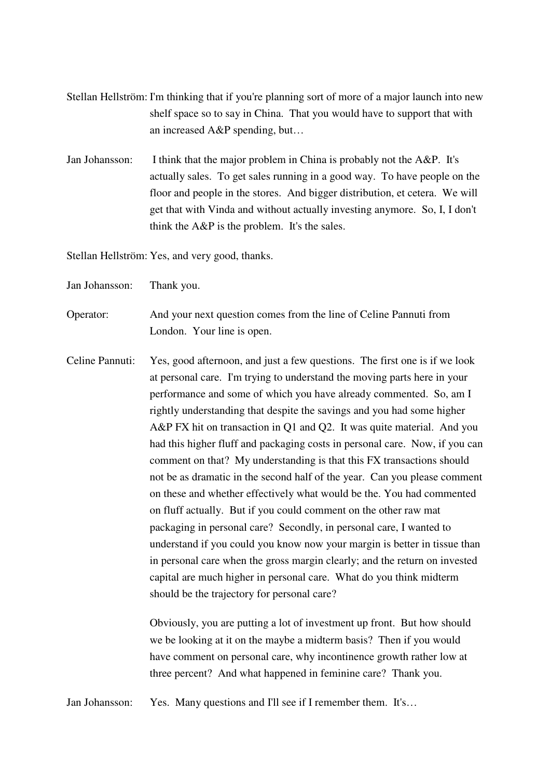- Stellan Hellström: I'm thinking that if you're planning sort of more of a major launch into new shelf space so to say in China. That you would have to support that with an increased A&P spending, but…
- Jan Johansson: I think that the major problem in China is probably not the A&P. It's actually sales. To get sales running in a good way. To have people on the floor and people in the stores. And bigger distribution, et cetera. We will get that with Vinda and without actually investing anymore. So, I, I don't think the A&P is the problem. It's the sales.

Stellan Hellström: Yes, and very good, thanks.

- Jan Johansson: Thank you.
- Operator: And your next question comes from the line of Celine Pannuti from London. Your line is open.
- Celine Pannuti: Yes, good afternoon, and just a few questions. The first one is if we look at personal care. I'm trying to understand the moving parts here in your performance and some of which you have already commented. So, am I rightly understanding that despite the savings and you had some higher A&P FX hit on transaction in Q1 and Q2. It was quite material. And you had this higher fluff and packaging costs in personal care. Now, if you can comment on that? My understanding is that this FX transactions should not be as dramatic in the second half of the year. Can you please comment on these and whether effectively what would be the. You had commented on fluff actually. But if you could comment on the other raw mat packaging in personal care? Secondly, in personal care, I wanted to understand if you could you know now your margin is better in tissue than in personal care when the gross margin clearly; and the return on invested capital are much higher in personal care. What do you think midterm should be the trajectory for personal care?

 Obviously, you are putting a lot of investment up front. But how should we be looking at it on the maybe a midterm basis? Then if you would have comment on personal care, why incontinence growth rather low at three percent? And what happened in feminine care? Thank you.

Jan Johansson: Yes. Many questions and I'll see if I remember them. It's...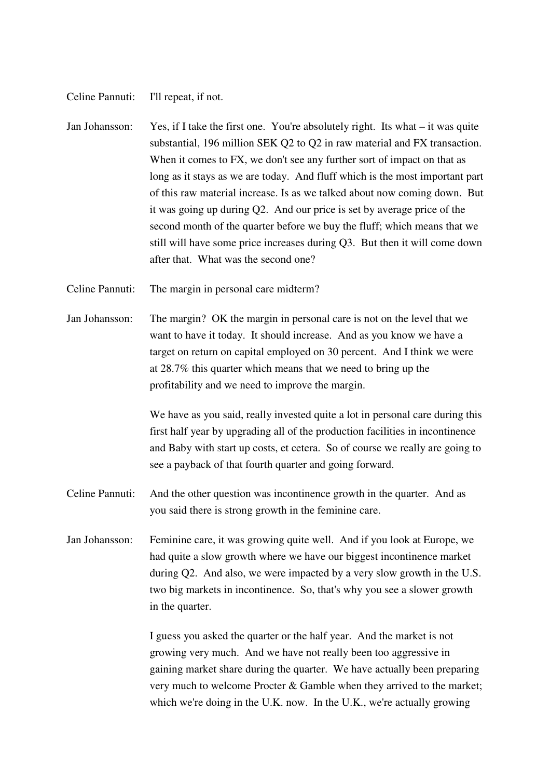Celine Pannuti: I'll repeat, if not.

- Jan Johansson: Yes, if I take the first one. You're absolutely right. Its what it was quite substantial, 196 million SEK Q2 to Q2 in raw material and FX transaction. When it comes to FX, we don't see any further sort of impact on that as long as it stays as we are today. And fluff which is the most important part of this raw material increase. Is as we talked about now coming down. But it was going up during Q2. And our price is set by average price of the second month of the quarter before we buy the fluff; which means that we still will have some price increases during Q3. But then it will come down after that. What was the second one?
- Celine Pannuti: The margin in personal care midterm?
- Jan Johansson: The margin? OK the margin in personal care is not on the level that we want to have it today. It should increase. And as you know we have a target on return on capital employed on 30 percent. And I think we were at 28.7% this quarter which means that we need to bring up the profitability and we need to improve the margin.

 We have as you said, really invested quite a lot in personal care during this first half year by upgrading all of the production facilities in incontinence and Baby with start up costs, et cetera. So of course we really are going to see a payback of that fourth quarter and going forward.

- Celine Pannuti: And the other question was incontinence growth in the quarter. And as you said there is strong growth in the feminine care.
- Jan Johansson: Feminine care, it was growing quite well. And if you look at Europe, we had quite a slow growth where we have our biggest incontinence market during Q2. And also, we were impacted by a very slow growth in the U.S. two big markets in incontinence. So, that's why you see a slower growth in the quarter.

 I guess you asked the quarter or the half year. And the market is not growing very much. And we have not really been too aggressive in gaining market share during the quarter. We have actually been preparing very much to welcome Procter & Gamble when they arrived to the market; which we're doing in the U.K. now. In the U.K., we're actually growing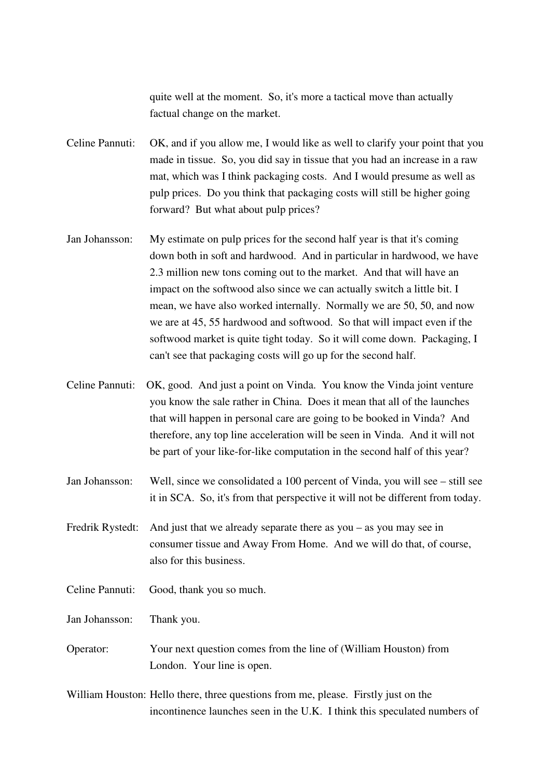quite well at the moment. So, it's more a tactical move than actually factual change on the market.

Celine Pannuti: OK, and if you allow me, I would like as well to clarify your point that you made in tissue. So, you did say in tissue that you had an increase in a raw mat, which was I think packaging costs. And I would presume as well as pulp prices. Do you think that packaging costs will still be higher going forward? But what about pulp prices?

- Jan Johansson: My estimate on pulp prices for the second half year is that it's coming down both in soft and hardwood. And in particular in hardwood, we have 2.3 million new tons coming out to the market. And that will have an impact on the softwood also since we can actually switch a little bit. I mean, we have also worked internally. Normally we are 50, 50, and now we are at 45, 55 hardwood and softwood. So that will impact even if the softwood market is quite tight today. So it will come down. Packaging, I can't see that packaging costs will go up for the second half.
- Celine Pannuti: OK, good. And just a point on Vinda. You know the Vinda joint venture you know the sale rather in China. Does it mean that all of the launches that will happen in personal care are going to be booked in Vinda? And therefore, any top line acceleration will be seen in Vinda. And it will not be part of your like-for-like computation in the second half of this year?
- Jan Johansson: Well, since we consolidated a 100 percent of Vinda, you will see still see it in SCA. So, it's from that perspective it will not be different from today.
- Fredrik Rystedt: And just that we already separate there as you as you may see in consumer tissue and Away From Home. And we will do that, of course, also for this business.
- Celine Pannuti: Good, thank you so much.

Jan Johansson: Thank you.

Operator: Your next question comes from the line of (William Houston) from London. Your line is open.

William Houston: Hello there, three questions from me, please. Firstly just on the incontinence launches seen in the U.K. I think this speculated numbers of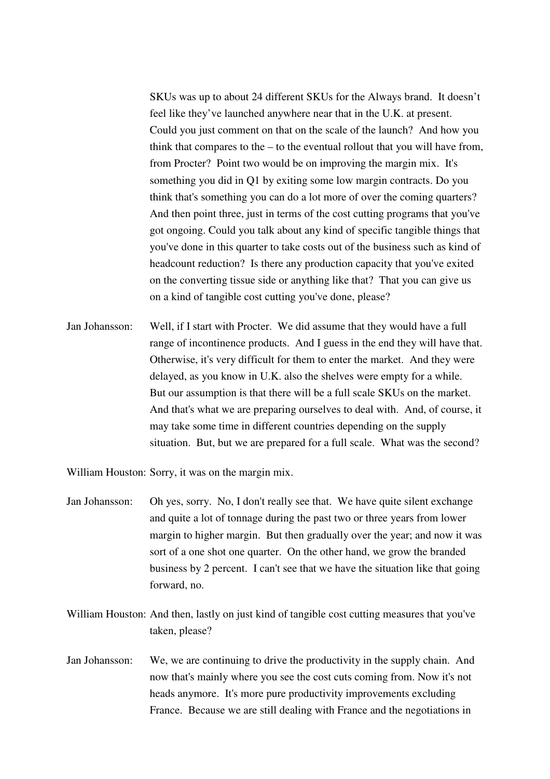SKUs was up to about 24 different SKUs for the Always brand. It doesn't feel like they've launched anywhere near that in the U.K. at present. Could you just comment on that on the scale of the launch? And how you think that compares to the – to the eventual rollout that you will have from, from Procter? Point two would be on improving the margin mix. It's something you did in Q1 by exiting some low margin contracts. Do you think that's something you can do a lot more of over the coming quarters? And then point three, just in terms of the cost cutting programs that you've got ongoing. Could you talk about any kind of specific tangible things that you've done in this quarter to take costs out of the business such as kind of headcount reduction? Is there any production capacity that you've exited on the converting tissue side or anything like that? That you can give us on a kind of tangible cost cutting you've done, please?

Jan Johansson: Well, if I start with Procter. We did assume that they would have a full range of incontinence products. And I guess in the end they will have that. Otherwise, it's very difficult for them to enter the market. And they were delayed, as you know in U.K. also the shelves were empty for a while. But our assumption is that there will be a full scale SKUs on the market. And that's what we are preparing ourselves to deal with. And, of course, it may take some time in different countries depending on the supply situation. But, but we are prepared for a full scale. What was the second?

William Houston: Sorry, it was on the margin mix.

- Jan Johansson: Oh yes, sorry. No, I don't really see that. We have quite silent exchange and quite a lot of tonnage during the past two or three years from lower margin to higher margin. But then gradually over the year; and now it was sort of a one shot one quarter. On the other hand, we grow the branded business by 2 percent. I can't see that we have the situation like that going forward, no.
- William Houston: And then, lastly on just kind of tangible cost cutting measures that you've taken, please?
- Jan Johansson: We, we are continuing to drive the productivity in the supply chain. And now that's mainly where you see the cost cuts coming from. Now it's not heads anymore. It's more pure productivity improvements excluding France. Because we are still dealing with France and the negotiations in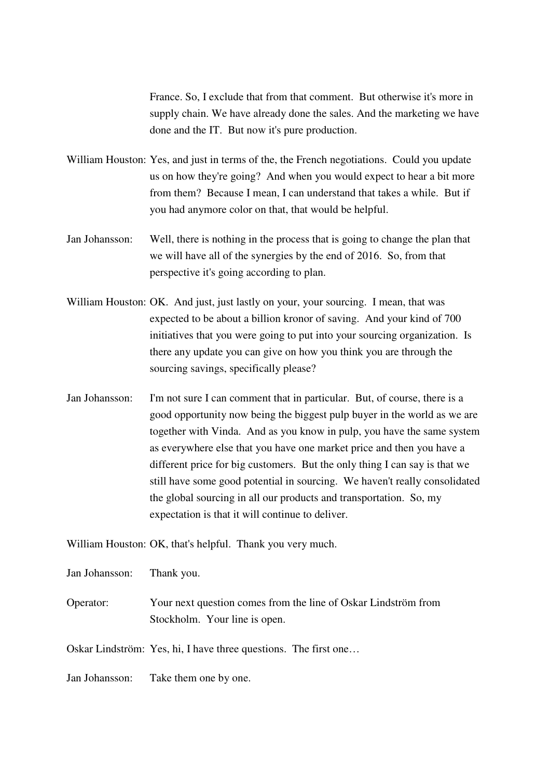France. So, I exclude that from that comment. But otherwise it's more in supply chain. We have already done the sales. And the marketing we have done and the IT. But now it's pure production.

William Houston: Yes, and just in terms of the, the French negotiations. Could you update us on how they're going? And when you would expect to hear a bit more from them? Because I mean, I can understand that takes a while. But if you had anymore color on that, that would be helpful.

- Jan Johansson: Well, there is nothing in the process that is going to change the plan that we will have all of the synergies by the end of 2016. So, from that perspective it's going according to plan.
- William Houston: OK. And just, just lastly on your, your sourcing. I mean, that was expected to be about a billion kronor of saving. And your kind of 700 initiatives that you were going to put into your sourcing organization. Is there any update you can give on how you think you are through the sourcing savings, specifically please?
- Jan Johansson: I'm not sure I can comment that in particular. But, of course, there is a good opportunity now being the biggest pulp buyer in the world as we are together with Vinda. And as you know in pulp, you have the same system as everywhere else that you have one market price and then you have a different price for big customers. But the only thing I can say is that we still have some good potential in sourcing. We haven't really consolidated the global sourcing in all our products and transportation. So, my expectation is that it will continue to deliver.

William Houston: OK, that's helpful. Thank you very much.

Jan Johansson: Thank you.

Operator: Your next question comes from the line of Oskar Lindström from Stockholm. Your line is open.

Oskar Lindström: Yes, hi, I have three questions. The first one…

Jan Johansson: Take them one by one.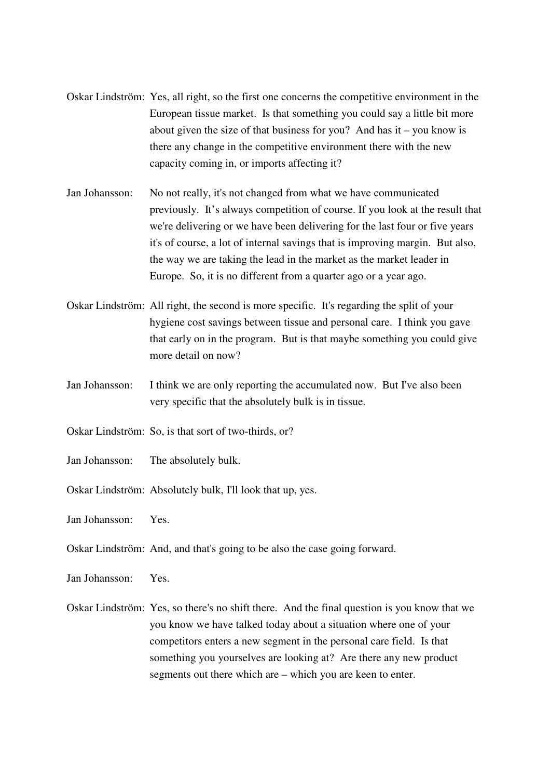- Oskar Lindström: Yes, all right, so the first one concerns the competitive environment in the European tissue market. Is that something you could say a little bit more about given the size of that business for you? And has it – you know is there any change in the competitive environment there with the new capacity coming in, or imports affecting it?
- Jan Johansson: No not really, it's not changed from what we have communicated previously. It's always competition of course. If you look at the result that we're delivering or we have been delivering for the last four or five years it's of course, a lot of internal savings that is improving margin. But also, the way we are taking the lead in the market as the market leader in Europe. So, it is no different from a quarter ago or a year ago.
- Oskar Lindström: All right, the second is more specific. It's regarding the split of your hygiene cost savings between tissue and personal care. I think you gave that early on in the program. But is that maybe something you could give more detail on now?
- Jan Johansson: I think we are only reporting the accumulated now. But I've also been very specific that the absolutely bulk is in tissue.
- Oskar Lindström: So, is that sort of two-thirds, or?
- Jan Johansson: The absolutely bulk.
- Oskar Lindström: Absolutely bulk, I'll look that up, yes.

Jan Johansson: Yes.

Oskar Lindström: And, and that's going to be also the case going forward.

Jan Johansson: Yes.

Oskar Lindström: Yes, so there's no shift there. And the final question is you know that we you know we have talked today about a situation where one of your competitors enters a new segment in the personal care field. Is that something you yourselves are looking at? Are there any new product segments out there which are – which you are keen to enter.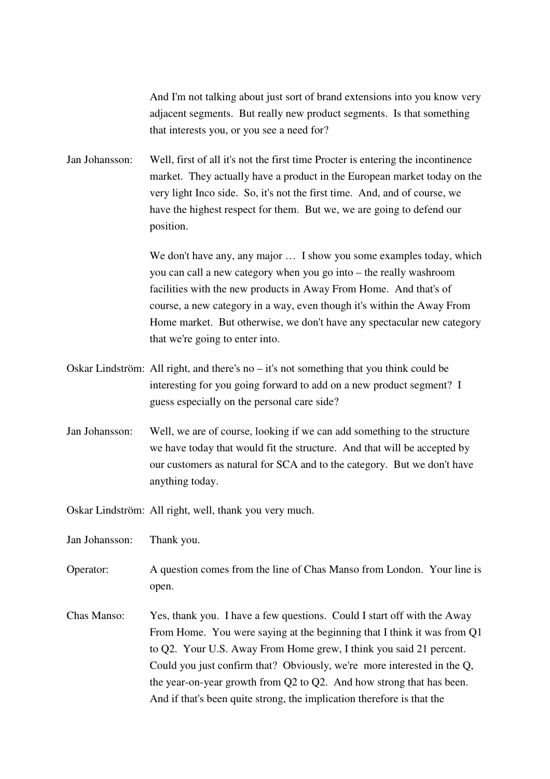And I'm not talking about just sort of brand extensions into you know very adjacent segments. But really new product segments. Is that something that interests you, or you see a need for?

Jan Johansson: Well, first of all it's not the first time Procter is entering the incontinence market. They actually have a product in the European market today on the very light Inco side. So, it's not the first time. And, and of course, we have the highest respect for them. But we, we are going to defend our position.

> We don't have any, any major ... I show you some examples today, which you can call a new category when you go into – the really washroom facilities with the new products in Away From Home. And that's of course, a new category in a way, even though it's within the Away From Home market. But otherwise, we don't have any spectacular new category that we're going to enter into.

- Oskar Lindström: All right, and there's no it's not something that you think could be interesting for you going forward to add on a new product segment? I guess especially on the personal care side?
- Jan Johansson: Well, we are of course, looking if we can add something to the structure we have today that would fit the structure. And that will be accepted by our customers as natural for SCA and to the category. But we don't have anything today.

Oskar Lindström: All right, well, thank you very much.

Jan Johansson: Thank you.

- Operator: A question comes from the line of Chas Manso from London. Your line is open.
- Chas Manso: Yes, thank you. I have a few questions. Could I start off with the Away From Home. You were saying at the beginning that I think it was from Q1 to Q2. Your U.S. Away From Home grew, I think you said 21 percent. Could you just confirm that? Obviously, we're more interested in the Q, the year-on-year growth from Q2 to Q2. And how strong that has been. And if that's been quite strong, the implication therefore is that the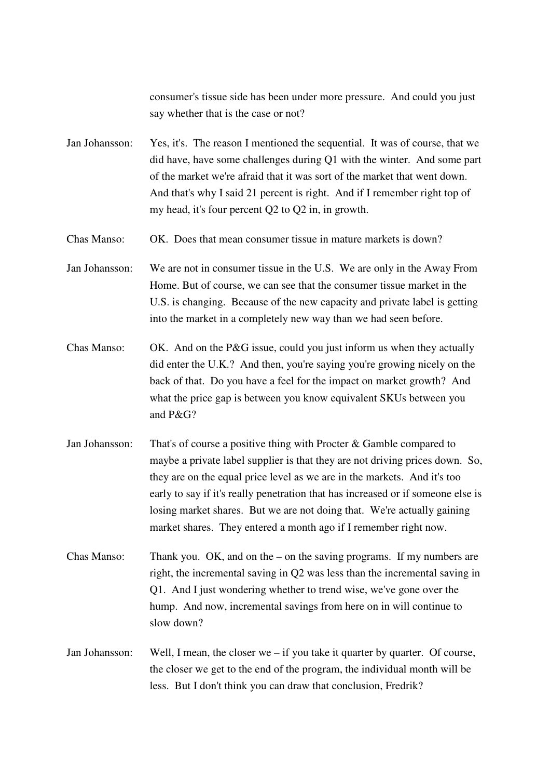consumer's tissue side has been under more pressure. And could you just say whether that is the case or not?

Jan Johansson: Yes, it's. The reason I mentioned the sequential. It was of course, that we did have, have some challenges during Q1 with the winter. And some part of the market we're afraid that it was sort of the market that went down. And that's why I said 21 percent is right. And if I remember right top of my head, it's four percent Q2 to Q2 in, in growth.

Chas Manso: OK. Does that mean consumer tissue in mature markets is down?

Jan Johansson: We are not in consumer tissue in the U.S. We are only in the Away From Home. But of course, we can see that the consumer tissue market in the U.S. is changing. Because of the new capacity and private label is getting into the market in a completely new way than we had seen before.

- Chas Manso: OK. And on the P&G issue, could you just inform us when they actually did enter the U.K.? And then, you're saying you're growing nicely on the back of that. Do you have a feel for the impact on market growth? And what the price gap is between you know equivalent SKUs between you and P&G?
- Jan Johansson: That's of course a positive thing with Procter & Gamble compared to maybe a private label supplier is that they are not driving prices down. So, they are on the equal price level as we are in the markets. And it's too early to say if it's really penetration that has increased or if someone else is losing market shares. But we are not doing that. We're actually gaining market shares. They entered a month ago if I remember right now.

Chas Manso: Thank you. OK, and on the – on the saving programs. If my numbers are right, the incremental saving in Q2 was less than the incremental saving in Q1. And I just wondering whether to trend wise, we've gone over the hump. And now, incremental savings from here on in will continue to slow down?

Jan Johansson: Well, I mean, the closer we – if you take it quarter by quarter. Of course, the closer we get to the end of the program, the individual month will be less. But I don't think you can draw that conclusion, Fredrik?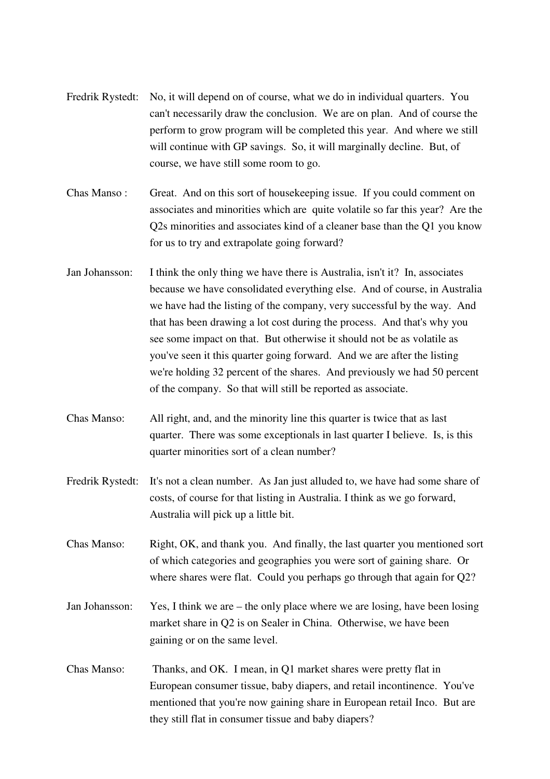| Fredrik Rystedt: | No, it will depend on of course, what we do in individual quarters. You<br>can't necessarily draw the conclusion. We are on plan. And of course the<br>perform to grow program will be completed this year. And where we still<br>will continue with GP savings. So, it will marginally decline. But, of<br>course, we have still some room to go.                                                                                                                                                                                                                                                              |
|------------------|-----------------------------------------------------------------------------------------------------------------------------------------------------------------------------------------------------------------------------------------------------------------------------------------------------------------------------------------------------------------------------------------------------------------------------------------------------------------------------------------------------------------------------------------------------------------------------------------------------------------|
| Chas Manso:      | Great. And on this sort of housekeeping issue. If you could comment on<br>associates and minorities which are quite volatile so far this year? Are the<br>Q2s minorities and associates kind of a cleaner base than the Q1 you know<br>for us to try and extrapolate going forward?                                                                                                                                                                                                                                                                                                                             |
| Jan Johansson:   | I think the only thing we have there is Australia, isn't it? In, associates<br>because we have consolidated everything else. And of course, in Australia<br>we have had the listing of the company, very successful by the way. And<br>that has been drawing a lot cost during the process. And that's why you<br>see some impact on that. But otherwise it should not be as volatile as<br>you've seen it this quarter going forward. And we are after the listing<br>we're holding 32 percent of the shares. And previously we had 50 percent<br>of the company. So that will still be reported as associate. |
| Chas Manso:      | All right, and, and the minority line this quarter is twice that as last<br>quarter. There was some exceptionals in last quarter I believe. Is, is this<br>quarter minorities sort of a clean number?                                                                                                                                                                                                                                                                                                                                                                                                           |
| Fredrik Rystedt: | It's not a clean number. As Jan just alluded to, we have had some share of<br>costs, of course for that listing in Australia. I think as we go forward,                                                                                                                                                                                                                                                                                                                                                                                                                                                         |
|                  | Australia will pick up a little bit.                                                                                                                                                                                                                                                                                                                                                                                                                                                                                                                                                                            |
| Chas Manso:      | Right, OK, and thank you. And finally, the last quarter you mentioned sort<br>of which categories and geographies you were sort of gaining share. Or<br>where shares were flat. Could you perhaps go through that again for Q2?                                                                                                                                                                                                                                                                                                                                                                                 |
| Jan Johansson:   | Yes, I think we are – the only place where we are losing, have been losing<br>market share in Q2 is on Sealer in China. Otherwise, we have been<br>gaining or on the same level.                                                                                                                                                                                                                                                                                                                                                                                                                                |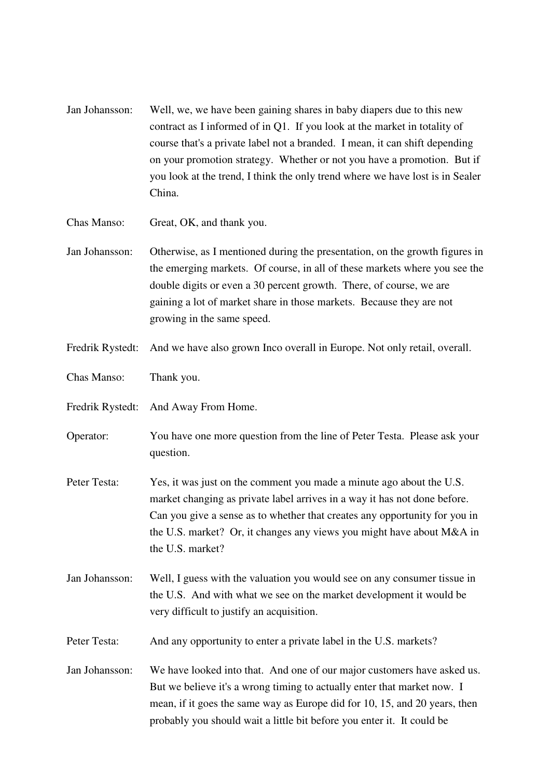- Jan Johansson: Well, we, we have been gaining shares in baby diapers due to this new contract as I informed of in Q1. If you look at the market in totality of course that's a private label not a branded. I mean, it can shift depending on your promotion strategy. Whether or not you have a promotion. But if you look at the trend, I think the only trend where we have lost is in Sealer China.
- Chas Manso: Great, OK, and thank you.
- Jan Johansson: Otherwise, as I mentioned during the presentation, on the growth figures in the emerging markets. Of course, in all of these markets where you see the double digits or even a 30 percent growth. There, of course, we are gaining a lot of market share in those markets. Because they are not growing in the same speed.
- Fredrik Rystedt: And we have also grown Inco overall in Europe. Not only retail, overall.
- Chas Manso: Thank you.
- Fredrik Rystedt: And Away From Home.
- Operator: You have one more question from the line of Peter Testa. Please ask your question.
- Peter Testa: Yes, it was just on the comment you made a minute ago about the U.S. market changing as private label arrives in a way it has not done before. Can you give a sense as to whether that creates any opportunity for you in the U.S. market? Or, it changes any views you might have about M&A in the U.S. market?
- Jan Johansson: Well, I guess with the valuation you would see on any consumer tissue in the U.S. And with what we see on the market development it would be very difficult to justify an acquisition.
- Peter Testa: And any opportunity to enter a private label in the U.S. markets?
- Jan Johansson: We have looked into that. And one of our major customers have asked us. But we believe it's a wrong timing to actually enter that market now. I mean, if it goes the same way as Europe did for 10, 15, and 20 years, then probably you should wait a little bit before you enter it. It could be